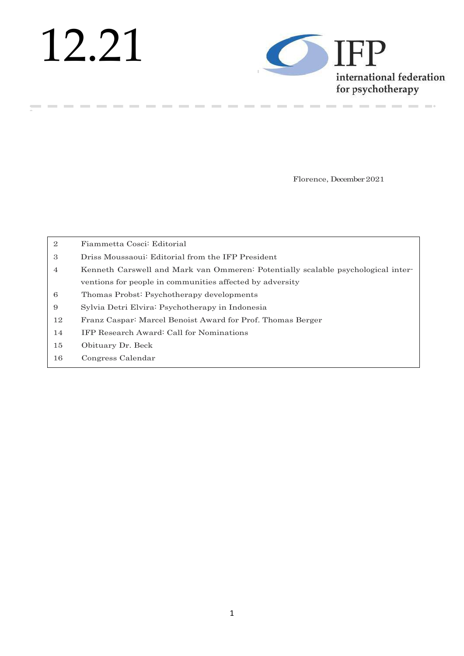# 12.21

**College** 

**Contract Contract** 



--------------

Florence, December 2021

| $\overline{2}$ | Fiammetta Cosci: Editorial                                                       |
|----------------|----------------------------------------------------------------------------------|
| 3              | Driss Moussaoui: Editorial from the IFP President                                |
| $\overline{4}$ | Kenneth Carswell and Mark van Ommeren: Potentially scalable psychological inter- |
|                | ventions for people in communities affected by adversity                         |
| 6              | Thomas Probst: Psychotherapy developments                                        |
| 9              | Sylvia Detri Elvira: Psychotherapy in Indonesia                                  |
| 12             | Franz Caspar: Marcel Benoist Award for Prof. Thomas Berger                       |
| 14             | IFP Research Award: Call for Nominations                                         |
| 15             | Obituary Dr. Beck                                                                |
| 16             | Congress Calendar                                                                |

**Contract Contract** 

----------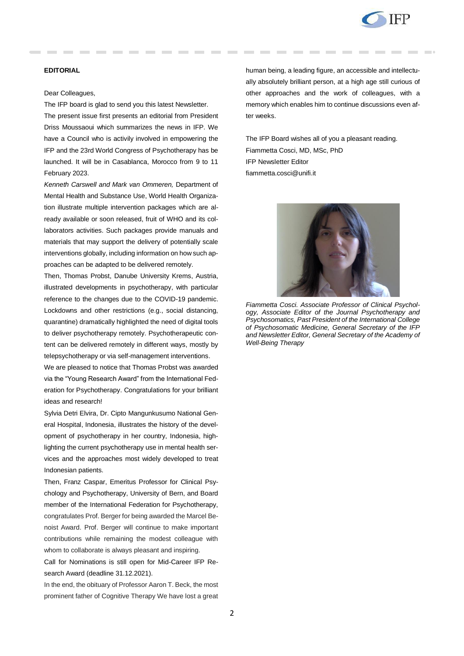

## **EDITORIAL**

#### Dear Colleagues,

The IFP board is glad to send you this latest Newsletter.

The present issue first presents an editorial from President Driss Moussaoui which summarizes the news in IFP. We have a Council who is activily involved in empowering the IFP and the 23rd World Congress of Psychotherapy has be launched. It will be in Casablanca, Morocco from 9 to 11 February 2023.

*Kenneth Carswell and Mark van Ommeren,* Department of Mental Health and Substance Use, World Health Organization illustrate multiple intervention packages which are already available or soon released, fruit of WHO and its collaborators activities. Such packages provide manuals and materials that may support the delivery of potentially scale interventions globally, including information on how such approaches can be adapted to be delivered remotely.

Then, Thomas Probst, Danube University Krems, Austria, illustrated developments in psychotherapy, with particular reference to the changes due to the COVID-19 pandemic. Lockdowns and other restrictions (e.g., social distancing, quarantine) dramatically highlighted the need of digital tools to deliver psychotherapy remotely. Psychotherapeutic content can be delivered remotely in different ways, mostly by telepsychotherapy or via self-management interventions.

We are pleased to notice that Thomas Probst was awarded via the "Young Research Award" from the International Federation for Psychotherapy. Congratulations for your brilliant ideas and research!

Sylvia Detri Elvira, Dr. Cipto Mangunkusumo National General Hospital, Indonesia, illustrates the history of the development of psychotherapy in her country, Indonesia, highlighting the current psychotherapy use in mental health services and the approaches most widely developed to treat Indonesian patients.

Then, Franz Caspar, Emeritus Professor for Clinical Psychology and Psychotherapy, University of Bern, and Board member of the International Federation for Psychotherapy, congratulates Prof. Berger for being awarded the Marcel Benoist Award. Prof. Berger will continue to make important contributions while remaining the modest colleague with whom to collaborate is always pleasant and inspiring.

Call for Nominations is still open for Mid-Career IFP Research Award (deadline 31.12.2021).

In the end, the obituary of Professor Aaron T. Beck, the most prominent father of Cognitive Therapy We have lost a great human being, a leading figure, an accessible and intellectually absolutely brilliant person, at a high age still curious of other approaches and the work of colleagues, with a memory which enables him to continue discussions even after weeks.

The IFP Board wishes all of you a pleasant reading. Fiammetta Cosci, MD, MSc, PhD IFP Newsletter Editor fiammetta.cosci@unifi.it



*Fiammetta Cosci. Associate Professor of Clinical Psychology, Associate Editor of the Journal Psychotherapy and Psychosomatics, Past President of the International College of Psychosomatic Medicine, General Secretary of the IFP and Newsletter Editor, General Secretary of the Academy of Well-Being Therapy*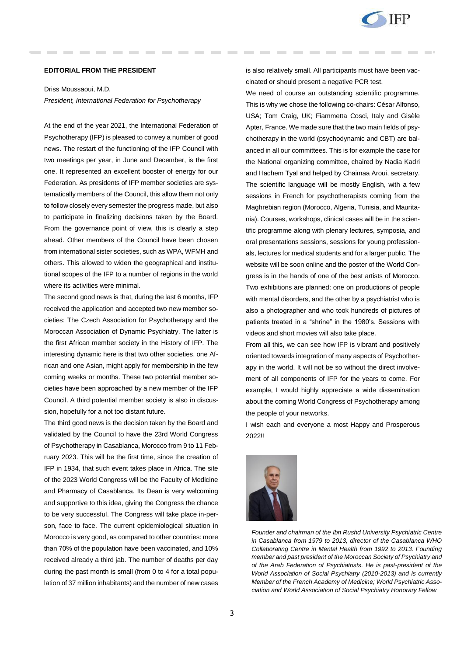

#### **EDITORIAL FROM THE PRESIDENT**

Driss Moussaoui, M.D.

*President, International Federation for Psychotherapy*

At the end of the year 2021, the International Federation of Psychotherapy (IFP) is pleased to convey a number of good news. The restart of the functioning of the IFP Council with two meetings per year, in June and December, is the first one. It represented an excellent booster of energy for our Federation. As presidents of IFP member societies are systematically members of the Council, this allow them not only to follow closely every semester the progress made, but also to participate in finalizing decisions taken by the Board. From the governance point of view, this is clearly a step ahead. Other members of the Council have been chosen from international sister societies, such as WPA, WFMH and others. This allowed to widen the geographical and institutional scopes of the IFP to a number of regions in the world where its activities were minimal.

The second good news is that, during the last 6 months, IFP received the application and accepted two new member societies: The Czech Association for Psychotherapy and the Moroccan Association of Dynamic Psychiatry. The latter is the first African member society in the History of IFP. The interesting dynamic here is that two other societies, one African and one Asian, might apply for membership in the few coming weeks or months. These two potential member societies have been approached by a new member of the IFP Council. A third potential member society is also in discussion, hopefully for a not too distant future.

The third good news is the decision taken by the Board and validated by the Council to have the 23rd World Congress of Psychotherapy in Casablanca, Morocco from 9 to 11 February 2023. This will be the first time, since the creation of IFP in 1934, that such event takes place in Africa. The site of the 2023 World Congress will be the Faculty of Medicine and Pharmacy of Casablanca. Its Dean is very welcoming and supportive to this idea, giving the Congress the chance to be very successful. The Congress will take place in-person, face to face. The current epidemiological situation in Morocco is very good, as compared to other countries: more than 70% of the population have been vaccinated, and 10% received already a third jab. The number of deaths per day during the past month is small (from 0 to 4 for a total population of 37 million inhabitants) and the number of new cases

is also relatively small. All participants must have been vaccinated or should present a negative PCR test.

We need of course an outstanding scientific programme. This is why we chose the following co-chairs: César Alfonso, USA; Tom Craig, UK; Fiammetta Cosci, Italy and Gisèle Apter, France. We made sure that the two main fields of psychotherapy in the world (psychodynamic and CBT) are balanced in all our committees. This is for example the case for the National organizing committee, chaired by Nadia Kadri and Hachem Tyal and helped by Chaimaa Aroui, secretary. The scientific language will be mostly English, with a few sessions in French for psychotherapists coming from the Maghrebian region (Morocco, Algeria, Tunisia, and Mauritania). Courses, workshops, clinical cases will be in the scientific programme along with plenary lectures, symposia, and oral presentations sessions, sessions for young professionals, lectures for medical students and for a larger public. The website will be soon online and the poster of the World Congress is in the hands of one of the best artists of Morocco. Two exhibitions are planned: one on productions of people with mental disorders, and the other by a psychiatrist who is also a photographer and who took hundreds of pictures of patients treated in a "shrine" in the 1980's. Sessions with videos and short movies will also take place.

From all this, we can see how IFP is vibrant and positively oriented towards integration of many aspects of Psychotherapy in the world. It will not be so without the direct involvement of all components of IFP for the years to come. For example, I would highly appreciate a wide dissemination about the coming World Congress of Psychotherapy among the people of your networks.

I wish each and everyone a most Happy and Prosperous 2022!!



*Founder and chairman of the Ibn Rushd University Psychiatric Centre in Casablanca from 1979 to 2013, director of the Casablanca WHO Collaborating Centre in Mental Health from 1992 to 2013. Founding member and past president of the Moroccan Society of Psychiatry and of the Arab Federation of Psychiatrists. He is past-president of the World Association of Social Psychiatry (2010-2013) and is currently Member of the French Academy of Medicine; World Psychiatric Association and World Association of Social Psychiatry Honorary Fellow*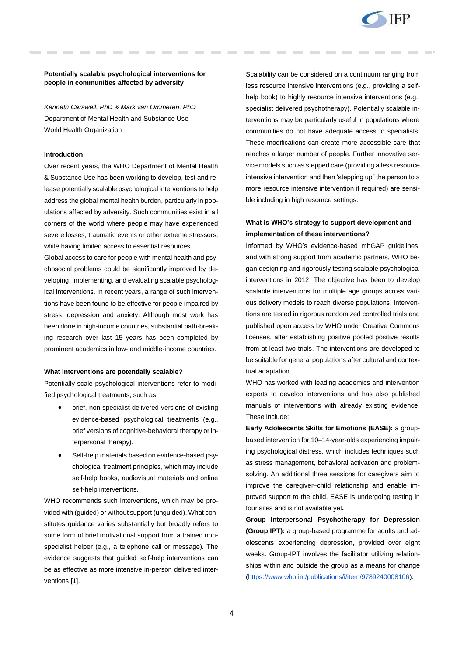

## **Potentially scalable psychological interventions for people in communities affected by adversity**

*Kenneth Carswell, PhD & Mark van Ommeren, PhD*  Department of Mental Health and Substance Use World Health Organization

#### **Introduction**

Over recent years, the WHO Department of Mental Health & Substance Use has been working to develop, test and release potentially scalable psychological interventions to help address the global mental health burden, particularly in populations affected by adversity. Such communities exist in all corners of the world where people may have experienced severe losses, traumatic events or other extreme stressors, while having limited access to essential resources.

Global access to care for people with mental health and psychosocial problems could be significantly improved by developing, implementing, and evaluating scalable psychological interventions. In recent years, a range of such interventions have been found to be effective for people impaired by stress, depression and anxiety. Although most work has been done in high-income countries, substantial path-breaking research over last 15 years has been completed by prominent academics in low- and middle-income countries.

#### **What interventions are potentially scalable?**

Potentially scale psychological interventions refer to modified psychological treatments, such as:

- brief, non-specialist-delivered versions of existing evidence-based psychological treatments (e.g., brief versions of cognitive-behavioral therapy or interpersonal therapy).
- Self-help materials based on evidence-based psychological treatment principles, which may include self-help books, audiovisual materials and online self-help interventions.

WHO recommends such interventions, which may be provided with (guided) or without support (unguided). What constitutes guidance varies substantially but broadly refers to some form of brief motivational support from a trained nonspecialist helper (e.g., a telephone call or message). The evidence suggests that guided self-help interventions can be as effective as more intensive in-person delivered interventions [1].

Scalability can be considered on a continuum ranging from less resource intensive interventions (e.g., providing a selfhelp book) to highly resource intensive interventions (e.g., specialist delivered psychotherapy). Potentially scalable interventions may be particularly useful in populations where communities do not have adequate access to specialists. These modifications can create more accessible care that reaches a larger number of people. Further innovative service models such as stepped care (providing a less resource intensive intervention and then 'stepping up" the person to a more resource intensive intervention if required) are sensible including in high resource settings.

# **What is WHO's strategy to support development and implementation of these interventions?**

Informed by WHO's evidence-based mhGAP guidelines, and with strong support from academic partners, WHO began designing and rigorously testing scalable psychological interventions in 2012. The objective has been to develop scalable interventions for multiple age groups across various delivery models to reach diverse populations. Interventions are tested in rigorous randomized controlled trials and published open access by WHO under Creative Commons licenses, after establishing positive pooled positive results from at least two trials. The interventions are developed to be suitable for general populations after cultural and contextual adaptation.

WHO has worked with leading academics and intervention experts to develop interventions and has also published manuals of interventions with already existing evidence. These include:

**Early Adolescents Skills for Emotions (EASE):** a groupbased intervention for 10–14-year-olds experiencing impairing psychological distress, which includes techniques such as stress management, behavioral activation and problemsolving. An additional three sessions for caregivers aim to improve the caregiver–child relationship and enable improved support to the child. EASE is undergoing testing in four sites and is not available yet**.**

**Group Interpersonal Psychotherapy for Depression (Group IPT):** a group-based programme for adults and adolescents experiencing depression, provided over eight weeks. Group-IPT involves the facilitator utilizing relationships within and outside the group as a means for change [\(https://www.who.int/publications/i/item/9789240008106\)](https://www.who.int/publications/i/item/9789240008106).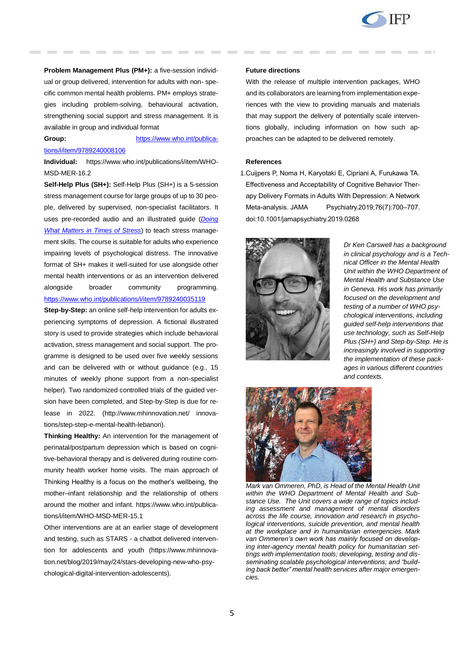

**Problem Management Plus (PM+):** a five-session individual or group delivered, intervention for adults with non- specific common mental health problems. PM+ employs strategies including problem-solving, behavioural activation, strengthening social support and stress management. It is available in group and individual format

# **Group:** [https://www.who.int/publica](https://www.who.int/publications/i/item/9789240008106)[tions/i/item/9789240008106](https://www.who.int/publications/i/item/9789240008106)

**Individual:** https://www.who.int/publications/i/item/WHO-MSD-MER-16.2

**Self-Help Plus (SH+):** Self-Help Plus (SH+) is a 5-session stress management course for large groups of up to 30 people, delivered by supervised, non-specialist facilitators. It uses pre-recorded audio and an illustrated guide (*[Doing](https://www.who.int/publications/i/item/9789240003927)  [What Matters in Times of Stress](https://www.who.int/publications/i/item/9789240003927)*) to teach stress management skills. The course is suitable for adults who experience impairing levels of psychological distress. The innovative format of SH+ makes it well-suited for use alongside other mental health interventions or as an intervention delivered alongside broader community programming. <https://www.who.int/publications/i/item/9789240035119>

**Step-by-Step:** an online self-help intervention for adults experiencing symptoms of depression. A fictional illustrated story is used to provide strategies which include behavioral activation, stress management and social support. The programme is designed to be used over five weekly sessions and can be delivered with or without guidance (e.g., 15 minutes of weekly phone support from a non-specialist helper). Two randomized controlled trials of the guided version have been completed, and Step-by-Step is due for release in 2022. (http://www.mhinnovation.net/ innovations/step-step-e-mental-health-lebanon).

**Thinking Healthy:** An intervention for the management of perinatal/postpartum depression which is based on cognitive-behavioral therapy and is delivered during routine community health worker home visits. The main approach of Thinking Healthy is a focus on the mother's wellbeing, the mother–infant relationship and the relationship of others around the mother and infant. https://www.who.int/publications/i/item/WHO-MSD-MER-15.1

Other interventions are at an earlier stage of development and testing, such as STARS - a chatbot delivered intervention for adolescents and youth (https://www.mhinnovation.net/blog/2019/may/24/stars-developing-new-who-psychological-digital-intervention-adolescents).

#### **Future directions**

With the release of multiple intervention packages, WHO and its collaborators are learning from implementation experiences with the view to providing manuals and materials that may support the delivery of potentially scale interventions globally, including information on how such approaches can be adapted to be delivered remotely.

#### **References**

1.Cuijpers P, Noma H, Karyotaki E, Cipriani A, Furukawa TA. Effectiveness and Acceptability of Cognitive Behavior Therapy Delivery Formats in Adults With Depression: A Network Meta-analysis. JAMA Psychiatry.2019;76(7):700–707. doi:10.1001/jamapsychiatry.2019.0268



*Dr Ken Carswell has a background in clinical psychology and is a Technical Officer in the Mental Health Unit within the WHO Department of Mental Health and Substance Use in Geneva. His work has primarily focused on the development and testing of a number of WHO psychological interventions, including guided self-help interventions that use technology, such as Self-Help Plus (SH+) and Step-by-Step. He is increasingly involved in supporting the implementation of these packages in various different countries and contexts.*



*Mark van Ommeren, PhD, is Head of the Mental Health Unit within the WHO Department of Mental Health and Substance Use. The Unit covers a wide range of topics including assessment and management of mental disorders across the life course, innovation and research in psychological interventions, suicide prevention, and mental health at the workplace and in humanitarian emergencies. Mark van Ommeren's own work has mainly focused on developing inter-agency mental health policy for humanitarian settings with implementation tools; developing, testing and disseminating scalable psychological interventions; and "building back better" mental health services after major emergencies.*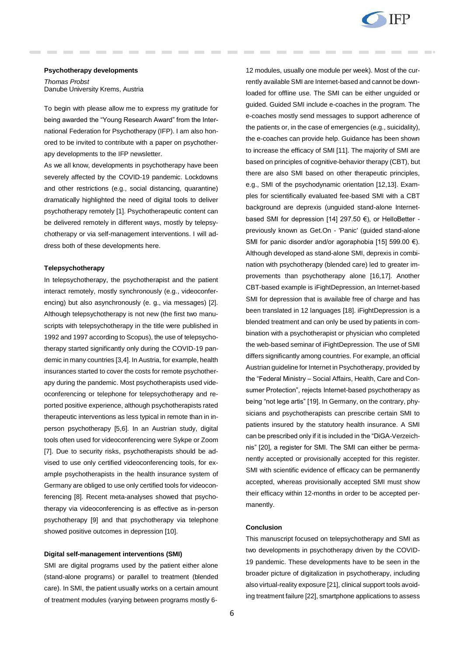

#### **Psychotherapy developments**

*Thomas Probst* Danube University Krems, Austria

To begin with please allow me to express my gratitude for being awarded the "Young Research Award" from the International Federation for Psychotherapy (IFP). I am also honored to be invited to contribute with a paper on psychotherapy developments to the IFP newsletter.

As we all know, developments in psychotherapy have been severely affected by the COVID-19 pandemic. Lockdowns and other restrictions (e.g., social distancing, quarantine) dramatically highlighted the need of digital tools to deliver psychotherapy remotely [1]. Psychotherapeutic content can be delivered remotely in different ways, mostly by telepsychotherapy or via self-management interventions. I will address both of these developments here.

#### **Telepsychotherapy**

In telepsychotherapy, the psychotherapist and the patient interact remotely, mostly synchronously (e.g., videoconferencing) but also asynchronously (e. g., via messages) [2]. Although telepsychotherapy is not new (the first two manuscripts with telepsychotherapy in the title were published in 1992 and 1997 according to Scopus), the use of telepsychotherapy started significantly only during the COVID-19 pandemic in many countries [3,4]. In Austria, for example, health insurances started to cover the costs for remote psychotherapy during the pandemic. Most psychotherapists used videoconferencing or telephone for telepsychotherapy and reported positive experience, although psychotherapists rated therapeutic interventions as less typical in remote than in inperson psychotherapy [5,6]. In an Austrian study, digital tools often used for videoconferencing were Sykpe or Zoom [7]. Due to security risks, psychotherapists should be advised to use only certified videoconferencing tools, for example psychotherapists in the health insurance system of Germany are obliged to use only certified tools for videoconferencing [8]. Recent meta-analyses showed that psychotherapy via videoconferencing is as effective as in-person psychotherapy [9] and that psychotherapy via telephone showed positive outcomes in depression [10].

#### **Digital self-management interventions (SMI)**

SMI are digital programs used by the patient either alone (stand-alone programs) or parallel to treatment (blended care). In SMI, the patient usually works on a certain amount of treatment modules (varying between programs mostly 612 modules, usually one module per week). Most of the currently available SMI are Internet-based and cannot be downloaded for offline use. The SMI can be either unguided or guided. Guided SMI include e-coaches in the program. The e-coaches mostly send messages to support adherence of the patients or, in the case of emergencies (e.g., suicidality), the e-coaches can provide help. Guidance has been shown to increase the efficacy of SMI [11]. The majority of SMI are based on principles of cognitive-behavior therapy (CBT), but there are also SMI based on other therapeutic principles, e.g., SMI of the psychodynamic orientation [12,13]. Examples for scientifically evaluated fee-based SMI with a CBT background are deprexis (unguided stand-alone Internetbased SMI for depression [14] 297.50 €), or HelloBetter previously known as Get.On - 'Panic' (guided stand-alone SMI for panic disorder and/or agoraphobia [15] 599.00 €). Although developed as stand-alone SMI, deprexis in combination with psychotherapy (blended care) led to greater improvements than psychotherapy alone [16,17]. Another CBT-based example is iFightDepression, an Internet-based SMI for depression that is available free of charge and has been translated in 12 languages [18]. iFightDepression is a blended treatment and can only be used by patients in combination with a psychotherapist or physician who completed the web-based seminar of iFightDepression. The use of SMI differs significantly among countries. For example, an official Austrian guideline for Internet in Psychotherapy, provided by the "Federal Ministry – Social Affairs, Health, Care and Consumer Protection", rejects Internet-based psychotherapy as being "not lege artis" [19]. In Germany, on the contrary, physicians and psychotherapists can prescribe certain SMI to patients insured by the statutory health insurance. A SMI can be prescribed only if it is included in the "DiGA-Verzeichnis" [20], a register for SMI. The SMI can either be permanently accepted or provisionally accepted for this register. SMI with scientific evidence of efficacy can be permanently accepted, whereas provisionally accepted SMI must show their efficacy within 12-months in order to be accepted permanently.

## **Conclusion**

This manuscript focused on telepsychotherapy and SMI as two developments in psychotherapy driven by the COVID-19 pandemic. These developments have to be seen in the broader picture of digitalization in psychotherapy, including also virtual-reality exposure [21], clinical support tools avoiding treatment failure [22], smartphone applications to assess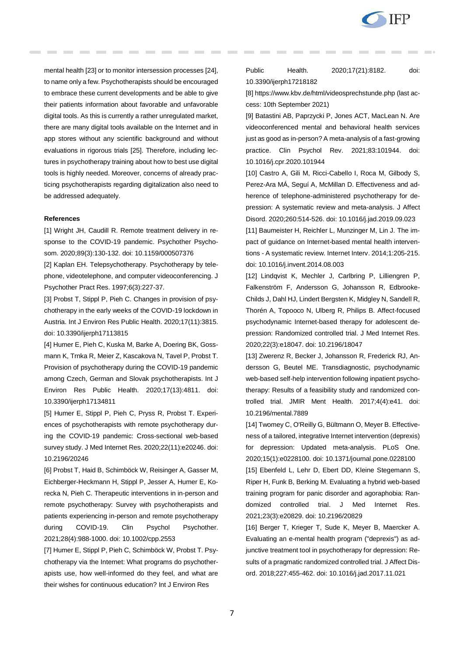

mental health [23] or to monitor intersession processes [24], to name only a few. Psychotherapists should be encouraged to embrace these current developments and be able to give their patients information about favorable and unfavorable digital tools. As this is currently a rather unregulated market, there are many digital tools available on the Internet and in app stores without any scientific background and without evaluations in rigorous trials [25]. Therefore, including lectures in psychotherapy training about how to best use digital tools is highly needed. Moreover, concerns of already practicing psychotherapists regarding digitalization also need to be addressed adequately.

#### **References**

[1] Wright JH, Caudill R. Remote treatment delivery in response to the COVID-19 pandemic. Psychother Psychosom. 2020;89(3):130-132. doi: 10.1159/000507376

[2] Kaplan EH. Telepsychotherapy. Psychotherapy by telephone, videotelephone, and computer videoconferencing. J Psychother Pract Res. 1997;6(3):227-37.

[3] Probst T, Stippl P, Pieh C. Changes in provision of psychotherapy in the early weeks of the COVID-19 lockdown in Austria. Int J Environ Res Public Health. 2020;17(11):3815. doi: 10.3390/ijerph17113815

[4] Humer E, Pieh C, Kuska M, Barke A, Doering BK, Gossmann K, Trnka R, Meier Z, Kascakova N, Tavel P, Probst T. Provision of psychotherapy during the COVID-19 pandemic among Czech, German and Slovak psychotherapists. Int J Environ Res Public Health. 2020;17(13):4811. doi: 10.3390/ijerph17134811

[5] Humer E, Stippl P, Pieh C, Pryss R, Probst T. Experiences of psychotherapists with remote psychotherapy during the COVID-19 pandemic: Cross-sectional web-based survey study. J Med Internet Res. 2020;22(11):e20246. doi: 10.2196/20246

[6] Probst T, Haid B, Schimböck W, Reisinger A, Gasser M, Eichberger-Heckmann H, Stippl P, Jesser A, Humer E, Korecka N, Pieh C. Therapeutic interventions in in-person and remote psychotherapy: Survey with psychotherapists and patients experiencing in-person and remote psychotherapy during COVID-19. Clin Psychol Psychother. 2021;28(4):988-1000. doi: 10.1002/cpp.2553

[7] Humer E, Stippl P, Pieh C, Schimböck W, Probst T. Psychotherapy via the Internet: What programs do psychotherapists use, how well-informed do they feel, and what are their wishes for continuous education? Int J Environ Res

## Public Health. 2020;17(21):8182. doi: 10.3390/ijerph17218182

[8[\] https://www.kbv.de/html/videosprechstunde.php](https://www.kbv.de/html/videosprechstunde.php) (last access: 10th September 2021)

[9] Batastini AB, Paprzycki P, Jones ACT, MacLean N. Are videoconferenced mental and behavioral health services just as good as in-person? A meta-analysis of a fast-growing practice. Clin Psychol Rev. 2021;83:101944. doi: 10.1016/j.cpr.2020.101944

[10] Castro A, Gili M, Ricci-Cabello I, Roca M, Gilbody S, Perez-Ara MÁ, Seguí A, McMillan D. Effectiveness and adherence of telephone-administered psychotherapy for depression: A systematic review and meta-analysis. J Affect Disord. 2020;260:514-526. doi: 10.1016/j.jad.2019.09.023

[11] Baumeister H, Reichler L, Munzinger M, Lin J. The impact of guidance on Internet-based mental health interventions - A systematic review. Internet Interv. 2014;1:205-215. doi: 10.1016/j.invent.2014.08.003

[12] Lindqvist K, Mechler J, Carlbring P, Lilliengren P, Falkenström F, Andersson G, Johansson R, Edbrooke-Childs J, Dahl HJ, Lindert Bergsten K, Midgley N, Sandell R, Thorén A, Topooco N, Ulberg R, Philips B. Affect-focused psychodynamic Internet-based therapy for adolescent depression: Randomized controlled trial. J Med Internet Res. 2020;22(3):e18047. doi: 10.2196/18047

[13] Zwerenz R, Becker J, Johansson R, Frederick RJ, Andersson G, Beutel ME. Transdiagnostic, psychodynamic web-based self-help intervention following inpatient psychotherapy: Results of a feasibility study and randomized controlled trial. JMIR Ment Health. 2017;4(4):e41. doi: 10.2196/mental.7889

[14] Twomey C, O'Reilly G, Bültmann O, Meyer B. Effectiveness of a tailored, integrative Internet intervention (deprexis) for depression: Updated meta-analysis. PLoS One. 2020;15(1):e0228100. doi: 10.1371/journal.pone.0228100

[15] Ebenfeld L, Lehr D, Ebert DD, Kleine Stegemann S, Riper H, Funk B, Berking M. Evaluating a hybrid web-based training program for panic disorder and agoraphobia: Randomized controlled trial. J Med Internet Res. 2021;23(3):e20829. doi: 10.2196/20829

[16] Berger T, Krieger T, Sude K, Meyer B, Maercker A. Evaluating an e-mental health program ("deprexis") as adjunctive treatment tool in psychotherapy for depression: Results of a pragmatic randomized controlled trial. J Affect Disord. 2018;227:455-462. doi: 10.1016/j.jad.2017.11.021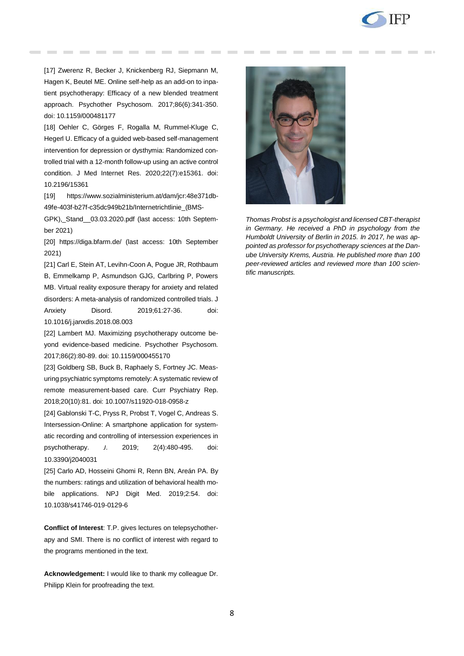

[17] Zwerenz R, Becker J, Knickenberg RJ, Siepmann M, Hagen K, Beutel ME. Online self-help as an add-on to inpatient psychotherapy: Efficacy of a new blended treatment approach. Psychother Psychosom. 2017;86(6):341-350. doi: 10.1159/000481177

[18] Oehler C, Görges F, Rogalla M, Rummel-Kluge C, Hegerl U. Efficacy of a guided web-based self-management intervention for depression or dysthymia: Randomized controlled trial with a 12-month follow-up using an active control condition. J Med Internet Res. 2020;22(7):e15361. doi: 10.2196/15361

[19] [https://www.sozialministerium.at/dam/jcr:48e371db-](https://www.sozialministerium.at/dam/jcr:48e371db-49fe-403f-b27f-c35dc949b21b/Internetrichtlinie_(BMSGPK),_Stand__03.03.2020.pdf)[49fe-403f-b27f-c35dc949b21b/Internetrichtlinie\\_\(BMS-](https://www.sozialministerium.at/dam/jcr:48e371db-49fe-403f-b27f-c35dc949b21b/Internetrichtlinie_(BMSGPK),_Stand__03.03.2020.pdf)

GPK), Stand 03.03.2020.pdf (last access: 10th September 2021)

[20] <https://diga.bfarm.de/> (last access: 10th September 2021)

[21] Carl E, Stein AT, Levihn-Coon A, Pogue JR, Rothbaum B, Emmelkamp P, Asmundson GJG, Carlbring P, Powers MB. Virtual reality exposure therapy for anxiety and related disorders: A meta-analysis of randomized controlled trials. J Anxiety Disord. 2019;61:27-36. doi: 10.1016/j.janxdis.2018.08.003

[22] Lambert MJ. Maximizing psychotherapy outcome beyond evidence-based medicine. Psychother Psychosom. 2017;86(2):80-89. doi: 10.1159/000455170

[23] Goldberg SB, Buck B, Raphaely S, Fortney JC. Measuring psychiatric symptoms remotely: A systematic review of remote measurement-based care. Curr Psychiatry Rep. 2018;20(10):81. doi: 10.1007/s11920-018-0958-z

[24] Gablonski T-C, Pryss R, Probst T, Vogel C, Andreas S. Intersession-Online: A smartphone application for systematic recording and controlling of intersession experiences in psychotherapy. *J*. 2019; 2(4):480-495. doi: 10.3390/j2040031

[25] Carlo AD, Hosseini Ghomi R, Renn BN, Areán PA. By the numbers: ratings and utilization of behavioral health mobile applications. NPJ Digit Med. 2019;2:54. doi: 10.1038/s41746-019-0129-6

**Conflict of Interest**: T.P. gives lectures on telepsychotherapy and SMI. There is no conflict of interest with regard to the programs mentioned in the text.

**Acknowledgement:** I would like to thank my colleague Dr. Philipp Klein for proofreading the text.



*Thomas Probst is a psychologist and licensed CBT-therapist in Germany. He received a PhD in psychology from the Humboldt University of Berlin in 2015. In 2017, he was appointed as professor for psychotherapy sciences at the Danube University Krems, Austria. He published more than 100 peer-reviewed articles and reviewed more than 100 scientific manuscripts.*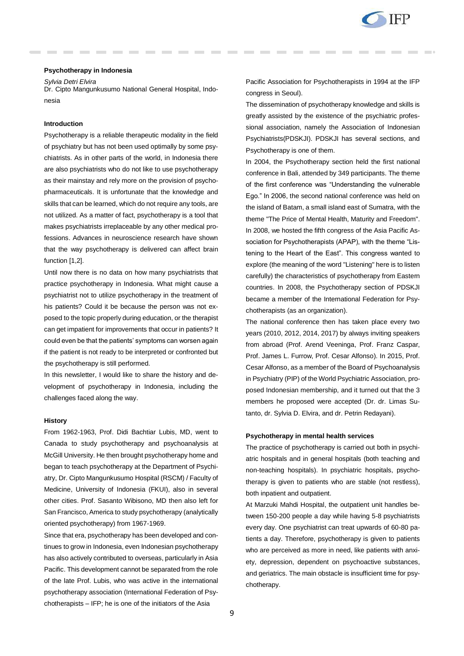

#### **Psychotherapy in Indonesia**

*Sylvia Detri Elvira*

Dr. Cipto Mangunkusumo National General Hospital, Indonesia

### **Introduction**

Psychotherapy is a reliable therapeutic modality in the field of psychiatry but has not been used optimally by some psychiatrists. As in other parts of the world, in Indonesia there are also psychiatrists who do not like to use psychotherapy as their mainstay and rely more on the provision of psychopharmaceuticals. It is unfortunate that the knowledge and skills that can be learned, which do not require any tools, are not utilized. As a matter of fact, psychotherapy is a tool that makes psychiatrists irreplaceable by any other medical professions. Advances in neuroscience research have shown that the way psychotherapy is delivered can affect brain function [1,2].

Until now there is no data on how many psychiatrists that practice psychotherapy in Indonesia. What might cause a psychiatrist not to utilize psychotherapy in the treatment of his patients? Could it be because the person was not exposed to the topic properly during education, or the therapist can get impatient for improvements that occur in patients? It could even be that the patients' symptoms can worsen again if the patient is not ready to be interpreted or confronted but the psychotherapy is still performed.

In this newsletter, I would like to share the history and development of psychotherapy in Indonesia, including the challenges faced along the way.

### **History**

From 1962-1963, Prof. Didi Bachtiar Lubis, MD, went to Canada to study psychotherapy and psychoanalysis at McGill University. He then brought psychotherapy home and began to teach psychotherapy at the Department of Psychiatry, Dr. Cipto Mangunkusumo Hospital (RSCM) / Faculty of Medicine, University of Indonesia (FKUI), also in several other cities. Prof. Sasanto Wibisono, MD then also left for San Francisco, America to study psychotherapy (analytically oriented psychotherapy) from 1967-1969.

Since that era, psychotherapy has been developed and continues to grow in Indonesia, even Indonesian psychotherapy has also actively contributed to overseas, particularly in Asia Pacific. This development cannot be separated from the role of the late Prof. Lubis, who was active in the international psychotherapy association (International Federation of Psychotherapists – IFP; he is one of the initiators of the Asia

Pacific Association for Psychotherapists in 1994 at the IFP congress in Seoul).

The dissemination of psychotherapy knowledge and skills is greatly assisted by the existence of the psychiatric professional association, namely the Association of Indonesian Psychiatrists(PDSKJI). PDSKJI has several sections, and Psychotherapy is one of them.

In 2004, the Psychotherapy section held the first national conference in Bali, attended by 349 participants. The theme of the first conference was "Understanding the vulnerable Ego." In 2006, the second national conference was held on the island of Batam, a small island east of Sumatra, with the theme "The Price of Mental Health, Maturity and Freedom". In 2008, we hosted the fifth congress of the Asia Pacific Association for Psychotherapists (APAP), with the theme "Listening to the Heart of the East". This congress wanted to explore (the meaning of the word "Listening" here is to listen carefully) the characteristics of psychotherapy from Eastern countries. In 2008, the Psychotherapy section of PDSKJI became a member of the International Federation for Psychotherapists (as an organization).

The national conference then has taken place every two years (2010, 2012, 2014, 2017) by always inviting speakers from abroad (Prof. Arend Veeninga, Prof. Franz Caspar, Prof. James L. Furrow, Prof. Cesar Alfonso). In 2015, Prof. Cesar Alfonso, as a member of the Board of Psychoanalysis in Psychiatry (PIP) of the World Psychiatric Association, proposed Indonesian membership, and it turned out that the 3 members he proposed were accepted (Dr. dr. Limas Sutanto, dr. Sylvia D. Elvira, and dr. Petrin Redayani).

## **Psychotherapy in mental health services**

The practice of psychotherapy is carried out both in psychiatric hospitals and in general hospitals (both teaching and non-teaching hospitals). In psychiatric hospitals, psychotherapy is given to patients who are stable (not restless), both inpatient and outpatient.

At Marzuki Mahdi Hospital, the outpatient unit handles between 150-200 people a day while having 5-8 psychiatrists every day. One psychiatrist can treat upwards of 60-80 patients a day. Therefore, psychotherapy is given to patients who are perceived as more in need, like patients with anxiety, depression, dependent on psychoactive substances, and geriatrics. The main obstacle is insufficient time for psychotherapy.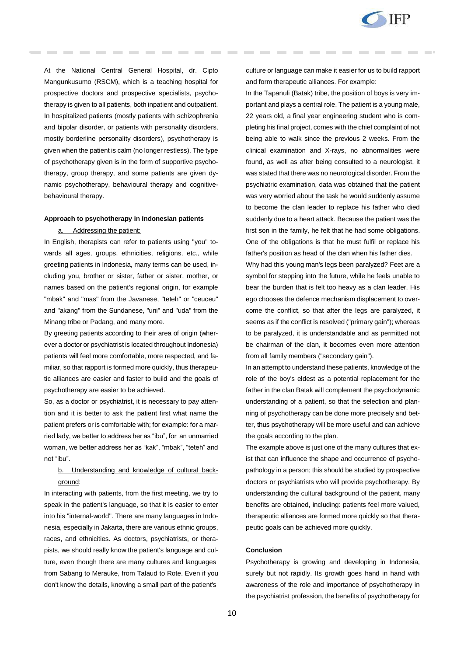

At the National Central General Hospital, dr. Cipto Mangunkusumo (RSCM), which is a teaching hospital for prospective doctors and prospective specialists, psychotherapy is given to all patients, both inpatient and outpatient. In hospitalized patients (mostly patients with schizophrenia and bipolar disorder, or patients with personality disorders, mostly borderline personality disorders), psychotherapy is given when the patient is calm (no longer restless). The type of psychotherapy given is in the form of supportive psychotherapy, group therapy, and some patients are given dynamic psychotherapy, behavioural therapy and cognitivebehavioural therapy.

## **Approach to psychotherapy in Indonesian patients**

#### a. Addressing the patient:

In English, therapists can refer to patients using "you" towards all ages, groups, ethnicities, religions, etc., while greeting patients in Indonesia, many terms can be used, including you, brother or sister, father or sister, mother, or names based on the patient's regional origin, for example "mbak" and "mas" from the Javanese, "teteh" or "ceuceu" and "akang" from the Sundanese, "uni" and "uda" from the Minang tribe or Padang, and many more.

By greeting patients according to their area of origin (wherever a doctor or psychiatrist is located throughout Indonesia) patients will feel more comfortable, more respected, and familiar, so that rapport is formed more quickly, thus therapeutic alliances are easier and faster to build and the goals of psychotherapy are easier to be achieved.

So, as a doctor or psychiatrist, it is necessary to pay attention and it is better to ask the patient first what name the patient prefers or is comfortable with; for example: for a married lady, we better to address her as "ibu", for an unmarried woman, we better address her as "kak", "mbak", "teteh" and not "ibu".

# b. Understanding and knowledge of cultural background:

In interacting with patients, from the first meeting, we try to speak in the patient's language, so that it is easier to enter into his "internal-world". There are many languages in Indonesia, especially in Jakarta, there are various ethnic groups, races, and ethnicities. As doctors, psychiatrists, or therapists, we should really know the patient's language and culture, even though there are many cultures and languages from Sabang to Merauke, from Talaud to Rote. Even if you don't know the details, knowing a small part of the patient's

culture or language can make it easier for us to build rapport and form therapeutic alliances. For example:

In the Tapanuli (Batak) tribe, the position of boys is very important and plays a central role. The patient is a young male, 22 years old, a final year engineering student who is completing his final project, comes with the chief complaint of not being able to walk since the previous 2 weeks. From the clinical examination and X-rays, no abnormalities were found, as well as after being consulted to a neurologist, it was stated that there was no neurological disorder. From the psychiatric examination, data was obtained that the patient was very worried about the task he would suddenly assume to become the clan leader to replace his father who died suddenly due to a heart attack. Because the patient was the first son in the family, he felt that he had some obligations. One of the obligations is that he must fulfil or replace his father's position as head of the clan when his father dies.

Why had this young man's legs been paralyzed? Feet are a symbol for stepping into the future, while he feels unable to bear the burden that is felt too heavy as a clan leader. His ego chooses the defence mechanism displacement to overcome the conflict, so that after the legs are paralyzed, it seems as if the conflict is resolved ("primary gain"); whereas to be paralyzed, it is understandable and as permitted not be chairman of the clan, it becomes even more attention from all family members ("secondary gain").

In an attempt to understand these patients, knowledge of the role of the boy's eldest as a potential replacement for the father in the clan Batak will complement the psychodynamic understanding of a patient, so that the selection and planning of psychotherapy can be done more precisely and better, thus psychotherapy will be more useful and can achieve the goals according to the plan.

The example above is just one of the many cultures that exist that can influence the shape and occurrence of psychopathology in a person; this should be studied by prospective doctors or psychiatrists who will provide psychotherapy. By understanding the cultural background of the patient, many benefits are obtained, including: patients feel more valued, therapeutic alliances are formed more quickly so that therapeutic goals can be achieved more quickly.

## **Conclusion**

Psychotherapy is growing and developing in Indonesia, surely but not rapidly. Its growth goes hand in hand with awareness of the role and importance of psychotherapy in the psychiatrist profession, the benefits of psychotherapy for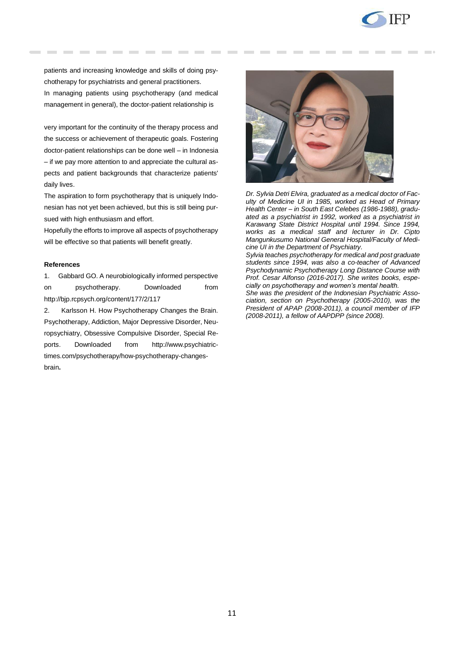

patients and increasing knowledge and skills of doing psychotherapy for psychiatrists and general practitioners. In managing patients using psychotherapy (and medical management in general), the doctor-patient relationship is

very important for the continuity of the therapy process and the success or achievement of therapeutic goals. Fostering doctor-patient relationships can be done well – in Indonesia – if we pay more attention to and appreciate the cultural aspects and patient backgrounds that characterize patients' daily lives.

The aspiration to form psychotherapy that is uniquely Indonesian has not yet been achieved, but this is still being pursued with high enthusiasm and effort.

Hopefully the efforts to improve all aspects of psychotherapy will be effective so that patients will benefit greatly.

#### **References**

1. Gabbard GO. A neurobiologically informed perspective on psychotherapy. Downloaded fro[m](http://bjp.rcpsych.org/content/177/2/117) <http://bjp.rcpsych.org/content/177/2/117>

2. Karlsson H. How Psychotherapy Changes the Brain[.](http://www.psychiatrictimes.com/psychotherapy) [Psychotherapy,](http://www.psychiatrictimes.com/psychotherapy) [Addiction,](http://www.psychiatrictimes.com/addiction) [Major Depressive Disorder,](http://www.psychiatrictimes.com/major-depressive-disorder) [Neu](http://www.psychiatrictimes.com/neuropsychiatry)[ropsychiatry,](http://www.psychiatrictimes.com/neuropsychiatry) [Obsessive Compulsive Disorder,](http://www.psychiatrictimes.com/obsessive-compulsive-disorder) [Special Re](http://www.psychiatrictimes.com/special-reports)[ports.](http://www.psychiatrictimes.com/special-reports) Downloaded fro[m](http://www.psychiatrictimes.com/psychotherapy/how-psychotherapy-changes-brain) [http://www.psychiatric](http://www.psychiatrictimes.com/psychotherapy/how-psychotherapy-changes-brain)[times.com/psychotherapy/how-psychotherapy-changes](http://www.psychiatrictimes.com/psychotherapy/how-psychotherapy-changes-brain)[brain](http://www.psychiatrictimes.com/psychotherapy/how-psychotherapy-changes-brain)**.**



*Dr. Sylvia Detri Elvira, graduated as a medical doctor of Faculty of Medicine UI in 1985, worked as Head of Primary Health Center – in South East Celebes (1986-1988), graduated as a psychiatrist in 1992, worked as a psychiatrist in Karawang State District Hospital until 1994. Since 1994, works as a medical staff and lecturer in Dr. Cipto Mangunkusumo National General Hospital/Faculty of Medicine UI in the Department of Psychiatry.*

*Sylvia teaches psychotherapy for medical and post graduate students since 1994, was also a co-teacher of Advanced Psychodynamic Psychotherapy Long Distance Course with Prof. Cesar Alfonso (2016-2017). She writes books, especially on psychotherapy and women's mental health.* 

*She was the president of the Indonesian Psychiatric Association, section on Psychotherapy (2005-2010), was the President of APAP (2008-2011), a council member of IFP (2008-2011), a fellow of AAPDPP (since 2008).*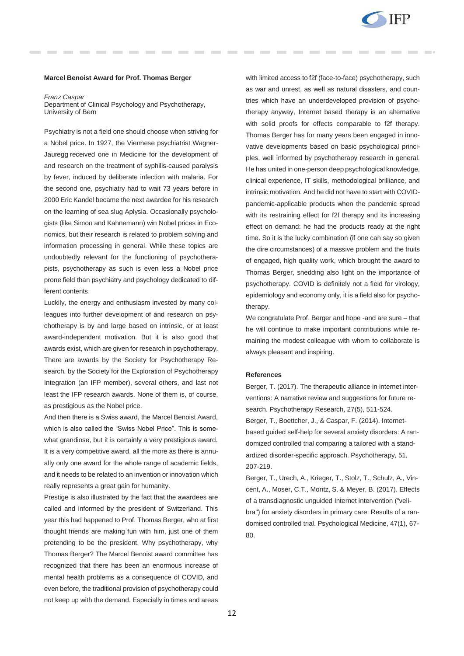

#### **Marcel Benoist Award for Prof. Thomas Berger**

*Franz Caspar*

Department of Clinical Psychology and Psychotherapy, University of Bern

Psychiatry is not a field one should choose when striving for a Nobel price. In 1927, the Viennese psychiatrist Wagner-Jauregg received one in Medicine for the development of and research on the treatment of syphilis-caused paralysis by fever, induced by deliberate infection with malaria. For the second one, psychiatry had to wait 73 years before in 2000 Eric Kandel became the next awardee for his research on the learning of sea slug Aplysia. Occasionally psychologists (like Simon and Kahnemann) win Nobel prices in Economics, but their research is related to problem solving and information processing in general. While these topics are undoubtedly relevant for the functioning of psychotherapists, psychotherapy as such is even less a Nobel price prone field than psychiatry and psychology dedicated to different contents.

Luckily, the energy and enthusiasm invested by many colleagues into further development of and research on psychotherapy is by and large based on intrinsic, or at least award-independent motivation. But it is also good that awards exist, which are given for research in psychotherapy. There are awards by the Society for Psychotherapy Research, by the Society for the Exploration of Psychotherapy Integration (an IFP member), several others, and last not least the IFP research awards. None of them is, of course, as prestigious as the Nobel price.

And then there is a Swiss award, the Marcel Benoist Award, which is also called the "Swiss Nobel Price". This is somewhat grandiose, but it is certainly a very prestigious award. It is a very competitive award, all the more as there is annually only one award for the whole range of academic fields, and it needs to be related to an invention or innovation which really represents a great gain for humanity.

Prestige is also illustrated by the fact that the awardees are called and informed by the president of Switzerland. This year this had happened to Prof. Thomas Berger, who at first thought friends are making fun with him, just one of them pretending to be the president. Why psychotherapy, why Thomas Berger? The Marcel Benoist award committee has recognized that there has been an enormous increase of mental health problems as a consequence of COVID, and even before, the traditional provision of psychotherapy could not keep up with the demand. Especially in times and areas

with limited access to f2f (face-to-face) psychotherapy, such as war and unrest, as well as natural disasters, and countries which have an underdeveloped provision of psychotherapy anyway, Internet based therapy is an alternative with solid proofs for effects comparable to f2f therapy. Thomas Berger has for many years been engaged in innovative developments based on basic psychological principles, well informed by psychotherapy research in general. He has united in one-person deep psychological knowledge, clinical experience, IT skills, methodological brilliance, and intrinsic motivation. And he did not have to start with COVIDpandemic-applicable products when the pandemic spread with its restraining effect for f2f therapy and its increasing effect on demand: he had the products ready at the right time. So it is the lucky combination (if one can say so given the dire circumstances) of a massive problem and the fruits of engaged, high quality work, which brought the award to Thomas Berger, shedding also light on the importance of psychotherapy. COVID is definitely not a field for virology, epidemiology and economy only, it is a field also for psychotherapy.

We congratulate Prof. Berger and hope -and are sure – that he will continue to make important contributions while remaining the modest colleague with whom to collaborate is always pleasant and inspiring.

#### **References**

Berger, T. (2017). The therapeutic alliance in internet interventions: A narrative review and suggestions for future research. Psychotherapy Research, 27(5), 511-524. Berger, T., Boettcher, J., & Caspar, F. (2014). Internetbased guided self-help for several anxiety disorders: A randomized controlled trial comparing a tailored with a standardized disorder-specific approach. Psychotherapy, 51, 207-219.

Berger, T., Urech, A., Krieger, T., Stolz, T., Schulz, A., Vincent, A., Moser, C.T., Moritz, S. & Meyer, B. (2017). Effects of a transdiagnostic unguided Internet intervention ("velibra") for anxiety disorders in primary care: Results of a randomised controlled trial. Psychological Medicine, 47(1), 67- 80.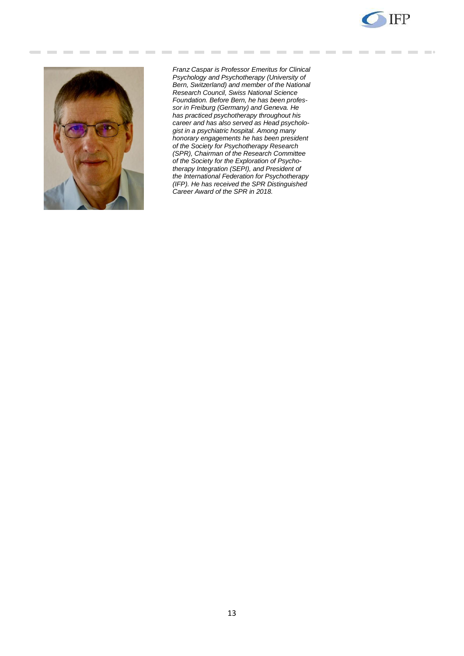



*Franz Caspar is Professor Emeritus for Clinical Psychology and Psychotherapy (University of Bern, Switzerland) and member of the National Research Council, Swiss National Science Foundation. Before Bern, he has been professor in Freiburg (Germany) and Geneva. He has practiced psychotherapy throughout his career and has also served as Head psychologist in a psychiatric hospital. Among many honorary engagements he has been president of the Society for Psychotherapy Research (SPR), Chairman of the Research Committee of the Society for the Exploration of Psychotherapy Integration (SEPI), and President of the International Federation for Psychotherapy (IFP). He has received the SPR Distinguished Career Award of the SPR in 2018.*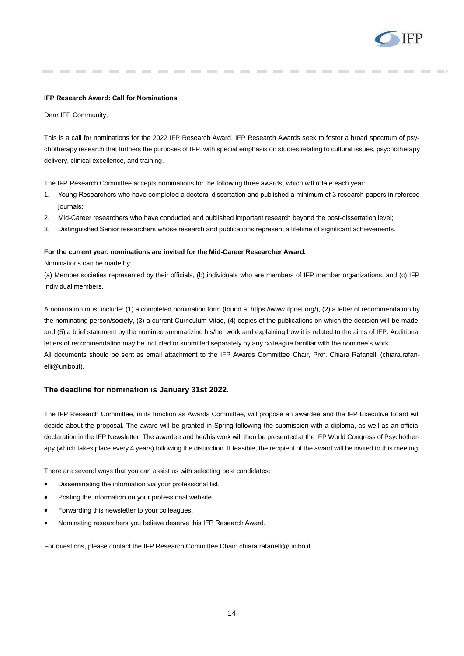

#### **IFP Research Award: Call for Nominations**

Dear IFP Community,

This is a call for nominations for the 2022 IFP Research Award. IFP Research Awards seek to foster a broad spectrum of psychotherapy research that furthers the purposes of IFP, with special emphasis on studies relating to cultural issues, psychotherapy delivery, clinical excellence, and training.

The IFP Research Committee accepts nominations for the following three awards, which will rotate each year:

- 1. Young Researchers who have completed a doctoral dissertation and published a minimum of 3 research papers in refereed journals;
- 2. Mid-Career researchers who have conducted and published important research beyond the post-dissertation level;
- 3. Distinguished Senior researchers whose research and publications represent a lifetime of significant achievements.

#### **For the current year, nominations are invited for the Mid-Career Researcher Award.**

Nominations can be made by:

(a) Member societies represented by their officials, (b) individuals who are members of IFP member organizations, and (c) IFP Individual members.

A nomination must include: (1) a completed nomination form (found at https://www.ifpnet.org/), (2) a letter of recommendation by the nominating person/society, (3) a current Curriculum Vitae, (4) copies of the publications on which the decision will be made, and (5) a brief statement by the nominee summarizing his/her work and explaining how it is related to the aims of IFP. Additional letters of recommendation may be included or submitted separately by any colleague familiar with the nominee's work. All documents should be sent as email attachment to the IFP Awards Committee Chair, Prof. Chiara Rafanelli (chiara.rafanelli@unibo.it).

## **The deadline for nomination is January 31st 2022.**

The IFP Research Committee, in its function as Awards Committee, will propose an awardee and the IFP Executive Board will decide about the proposal. The award will be granted in Spring following the submission with a diploma, as well as an official declaration in the IFP Newsletter. The awardee and her/his work will then be presented at the IFP World Congress of Psychotherapy (which takes place every 4 years) following the distinction. If feasible, the recipient of the award will be invited to this meeting.

There are several ways that you can assist us with selecting best candidates:

- Disseminating the information via your professional list,
- Posting the information on your professional website,
- Forwarding this newsletter to your colleagues,
- Nominating researchers you believe deserve this IFP Research Award.

For questions, please contact the IFP Research Committee Chair: chiara.rafanelli@unibo.it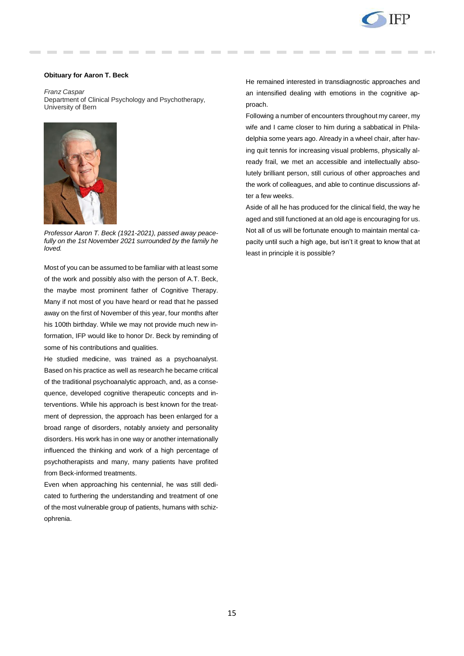

## **Obituary for Aaron T. Beck**

*Franz Caspar* Department of Clinical Psychology and Psychotherapy, University of Bern



*Professor Aaron T. Beck (1921-2021), passed away peacefully on the 1st November 2021 surrounded by the family he loved.* 

Most of you can be assumed to be familiar with at least some of the work and possibly also with the person of A.T. Beck, the maybe most prominent father of Cognitive Therapy. Many if not most of you have heard or read that he passed away on the first of November of this year, four months after his 100th birthday. While we may not provide much new information, IFP would like to honor Dr. Beck by reminding of some of his contributions and qualities.

He studied medicine, was trained as a psychoanalyst. Based on his practice as well as research he became critical of the traditional psychoanalytic approach, and, as a consequence, developed cognitive therapeutic concepts and interventions. While his approach is best known for the treatment of depression, the approach has been enlarged for a broad range of disorders, notably anxiety and personality disorders. His work has in one way or another internationally influenced the thinking and work of a high percentage of psychotherapists and many, many patients have profited from Beck-informed treatments.

Even when approaching his centennial, he was still dedicated to furthering the understanding and treatment of one of the most vulnerable group of patients, humans with schizophrenia.

He remained interested in transdiagnostic approaches and an intensified dealing with emotions in the cognitive approach.

Following a number of encounters throughout my career, my wife and I came closer to him during a sabbatical in Philadelphia some years ago. Already in a wheel chair, after having quit tennis for increasing visual problems, physically already frail, we met an accessible and intellectually absolutely brilliant person, still curious of other approaches and the work of colleagues, and able to continue discussions after a few weeks.

Aside of all he has produced for the clinical field, the way he aged and still functioned at an old age is encouraging for us. Not all of us will be fortunate enough to maintain mental capacity until such a high age, but isn't it great to know that at least in principle it is possible?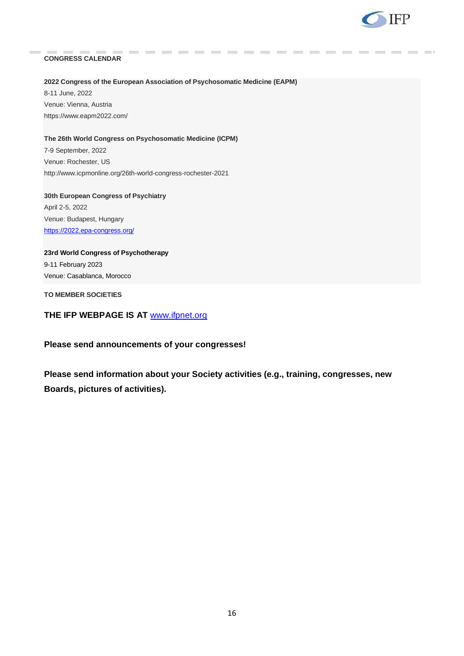

# **CONGRESS CALENDAR**

## **2022 Congress of the European Association of Psychosomatic Medicine (EAPM)**

8-11 June, 2022 Venue: Vienna, Austria https://www.eapm2022.com/

## **The 26th World Congress on Psychosomatic Medicine (ICPM)**

7-9 September, 2022 Venue: Rochester, US <http://www.icpmonline.org/26th-world-congress-rochester-2021>

**30th European Congress of Psychiatry** April 2-5, 2022 Venue: Budapest, Hungary <https://2022.epa-congress.org/>

# **23rd World Congress of Psychotherapy**  9-11 February 2023 Venue: Casablanca, Morocco

**TO MEMBER SOCIETIES** 

# **THE IFP WEBPAGE IS AT** [www.ifpnet.org](http://www.ifpnet.org/)

# **Please send announcements of your congresses!**

**Please send information about your Society activities (e.g., training, congresses, new Boards, pictures of activities).**